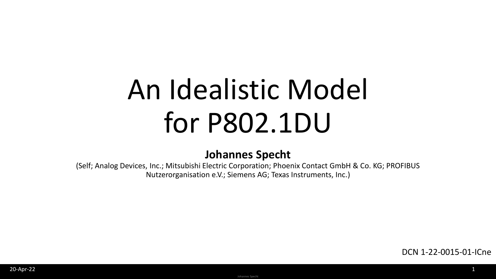# An Idealistic Model for P802.1DU

### **Johannes Specht**

(Self; Analog Devices, Inc.; Mitsubishi Electric Corporation; Phoenix Contact GmbH & Co. KG; PROFIBUS Nutzerorganisation e.V.; Siemens AG; Texas Instruments, Inc.)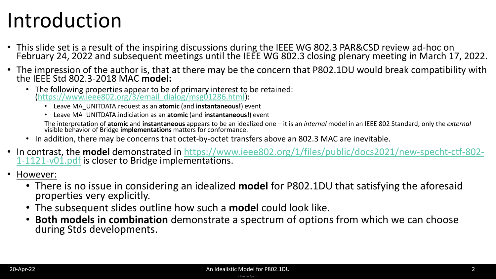### Introduction

- This slide set is a result of the inspiring discussions during the IEEE WG 802.3 PAR&CSD review ad-hoc on February 24, 2022 and subsequent meetings until the IEEE WG 802.3 closing plenary meeting in March 17, 2022.
- The impression of the author is, that at there may be the concern that P802.1DU would break compatibility with the IEEE Std 802.3-2018 MAC **model:**
	- The following properties appear to be of primary interest to be retained: [\(https://www.ieee802.org/3/email\\_dialog/msg01286.html\)](https://www.ieee802.org/3/email_dialog/msg01286.html):
		- Leave MA\_UNITDATA.request as an **atomic** (and **instantaneous!**) event
		- Leave MA\_UNITDATA.indiciation as an **atomic** (and **instantaneous!**) event

The interpretation of **atomic** and **instantaneous** appears to be an idealized one – it is an *internal* model in an IEEE 802 Standard; only the *external* visible behavior of Bridge **implementations** matters for conformance.

- In addition, there may be concerns that octet-by-octet transfers above an 802.3 MAC are inevitable.
- In contrast, the **model** [demonstrated in https://www.ieee802.org/1/files/public/docs2021/new-specht-ctf-802-](https://www.ieee802.org/1/files/public/docs2021/new-specht-ctf-802-1-1121-v01.pdf) 1-1121-v01.pdf is closer to Bridge implementations.
- However:
	- There is no issue in considering an idealized **model** for P802.1DU that satisfying the aforesaid properties very explicitly.
	- The subsequent slides outline how such a **model** could look like.
	- **Both models in combination** demonstrate a spectrum of options from which we can choose during Stds developments.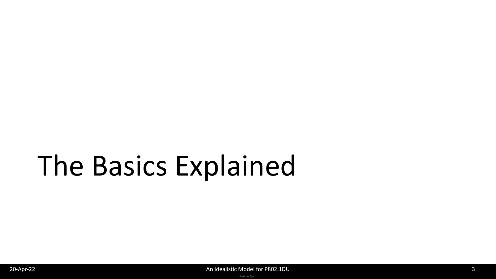# The Basics Explained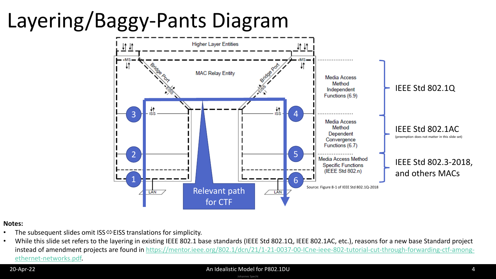# Layering/Baggy-Pants Diagram



#### **Notes:**

- The subsequent slides omit ISS $\Leftrightarrow$  EISS translations for simplicity.
- While this slide set refers to the layering in existing IEEE 802.1 base standards (IEEE Std 802.1Q, IEEE 802.1AC, etc.), reasons for a new base Standard project [instead of amendment projects are found in https://mentor.ieee.org/802.1/dcn/21/1-21-0037-00-ICne-ieee-802-tutorial-cut-through-forwarding-ctf-among](https://mentor.ieee.org/802.1/dcn/21/1-21-0037-00-ICne-ieee-802-tutorial-cut-through-forwarding-ctf-among-ethernet-networks.pdf)ethernet-networks.pdf.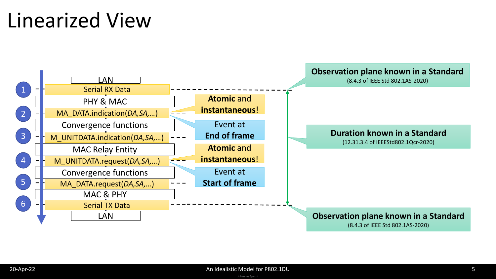### Linearized View

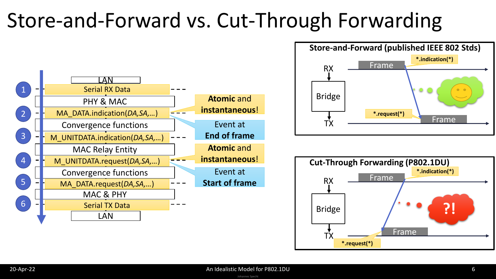### Store-and-Forward vs. Cut-Through Forwarding





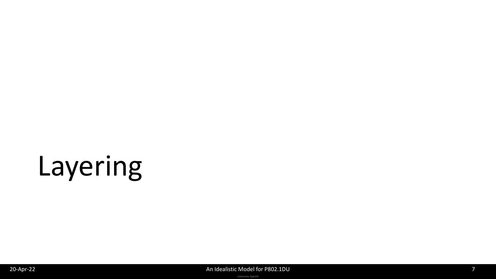# Layering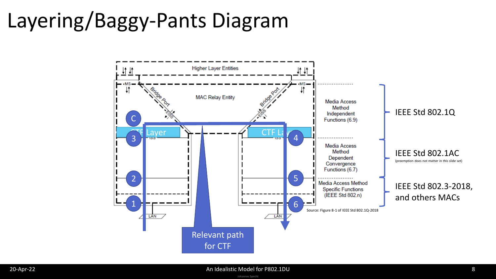## Layering/Baggy-Pants Diagram

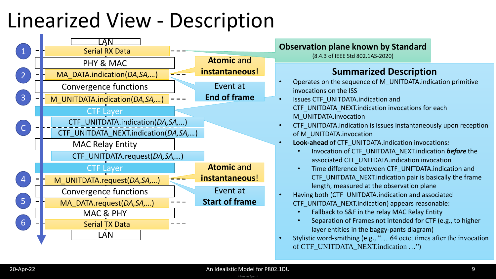### Linearized View - Description

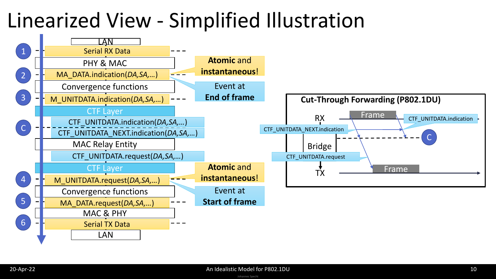### Linearized View - Simplified Illustration

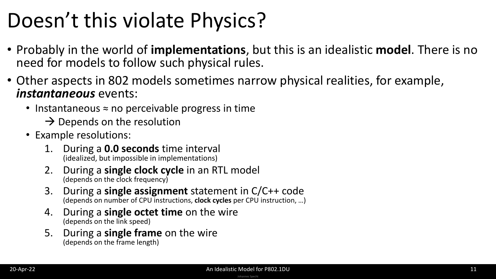### Doesn't this violate Physics?

- Probably in the world of **implementations**, but this is an idealistic **model**. There is no need for models to follow such physical rules.
- Other aspects in 802 models sometimes narrow physical realities, for example, *instantaneous* events:
	- Instantaneous ≈ no perceivable progress in time
		- $\rightarrow$  Depends on the resolution
	- Example resolutions:
		- 1. During a **0.0 seconds** time interval (idealized, but impossible in implementations)
		- 2. During a **single clock cycle** in an RTL model (depends on the clock frequency)
		- 3. During a **single assignment** statement in C/C++ code (depends on number of CPU instructions, **clock cycles** per CPU instruction, …)
		- 4. During a **single octet time** on the wire (depends on the link speed)
		- 5. During a **single frame** on the wire (depends on the frame length)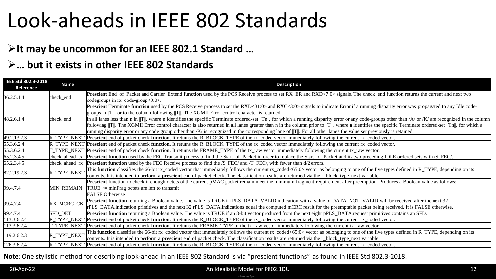### Look-aheads in IEEE 802 Standards

### ➢**It may be uncommon for an IEEE 802.1 Standard …**

### ➢**… but it exists in other IEEE 802 Standards**

| IEEE Std 802.3-2018<br>Reference | <b>Name</b>       | <b>Description</b>                                                                                                                                                                                                                                                                                                                                                                                                                                                                                                                                                                                                                                                                                                                                                                                                                                                                                      |  |  |  |
|----------------------------------|-------------------|---------------------------------------------------------------------------------------------------------------------------------------------------------------------------------------------------------------------------------------------------------------------------------------------------------------------------------------------------------------------------------------------------------------------------------------------------------------------------------------------------------------------------------------------------------------------------------------------------------------------------------------------------------------------------------------------------------------------------------------------------------------------------------------------------------------------------------------------------------------------------------------------------------|--|--|--|
| 36.2.5.1.4                       | check_end         | Prescient End_of_Packet and Carrier_Extend function used by the PCS Receive process to set RX_ER and RXD<7:0> signals. The check_end function returns the current and next two<br>codegroups in $rx$ code-group $<9:0>$ .                                                                                                                                                                                                                                                                                                                                                                                                                                                                                                                                                                                                                                                                               |  |  |  |
| 48.2.6.1.4                       | check_end         | Prescient Terminate function used by the PCS Receive process to set the RXD<31:0> and RXC<3:0> signals to indicate Error if a running disparity error was propagated to any Idle code-<br>groups in $  T  $ , or to the column following $  T  $ . The XGMII Error control character is returned<br>in all lanes less than n in $  T  $ , where n identifies the specific Terminate ordered-set $  T  $ , for which a running disparity error or any code-groups other than $/A$ or $/K$ are recognized in the column<br>following   T  . The XGMII Error control character is also returned in all lanes greater than n in the column prior to   T  , where n identifies the specific Terminate ordered-set   Tn  , for which a<br>running disparity error or any code group other than /K/ is recognized in the corresponding lane of  T  . For all other lanes the value set previously is retained. |  |  |  |
| 49.2.13.2.3                      | IR TYPE NEXT      | Prescient end of packet check function. It returns the R_BLOCK_TYPE of the rx_coded vector immediately following the current rx_coded vector.                                                                                                                                                                                                                                                                                                                                                                                                                                                                                                                                                                                                                                                                                                                                                           |  |  |  |
| 55.3.6.2.4                       |                   | TYPE_NEXT Prescient end of packet check function. It returns the R_BLOCK_TYPE of the rx_coded vector immediately following the current rx_coded vector.                                                                                                                                                                                                                                                                                                                                                                                                                                                                                                                                                                                                                                                                                                                                                 |  |  |  |
| 55.3.6.2.4                       |                   | T_TYPE_NEXT Prescient end of packet check function. It returns the FRAME_TYPE of the tx_raw vector immediately following the current tx_raw vector.                                                                                                                                                                                                                                                                                                                                                                                                                                                                                                                                                                                                                                                                                                                                                     |  |  |  |
| 65.2.3.4.5                       | check ahead tx    | Prescient function used by the FEC Transmit process to find the Start_of_Packet in order to replace the Start_of_Packet and its two preceding IDLE ordered sets with /S_FEC/.                                                                                                                                                                                                                                                                                                                                                                                                                                                                                                                                                                                                                                                                                                                           |  |  |  |
| 65.2.3.4.5                       | kheck ahead rx    | <b>Prescient function</b> used by the FEC Receive process to find the /S_FEC/ and /T_FEC/, with fewer than d/2 errors.                                                                                                                                                                                                                                                                                                                                                                                                                                                                                                                                                                                                                                                                                                                                                                                  |  |  |  |
| 82.2.19.2.3                      | R TYPE NEXT       | This function classifies the 66-bit rx_coded vector that immediately follows the current rx_coded<65:0> vector as belonging to one of the five types defined in R_TYPE, depending on its<br>contents. It is intended to perform a <b>prescient</b> end of packet check. The classification results are returned via the r_block_type_next variable.                                                                                                                                                                                                                                                                                                                                                                                                                                                                                                                                                     |  |  |  |
| 99.4.7.4                         | <b>MIN REMAIN</b> | Prescient function to check if enough octets of the current pMAC packet remain meet the minimum fragment requirement after preemption. Produces a Boolean value as follows:<br>$TRUE \geq$ = minFrag octets are left to transmit<br><b>FALSE</b> Otherwise                                                                                                                                                                                                                                                                                                                                                                                                                                                                                                                                                                                                                                              |  |  |  |
| 99.4.7.4                         | RX_MCRC_CK        | Prescient function returning a Boolean value. The value is TRUE if rPLS_DATA_VALID.indication with a value of DATA_NOT_VALID will be received after the next 32<br>rPLS_DATA.indication primitives and the next 32 rPLS_DATA.indications equal the computed mCRC result for the preemptable packet being received. It is FALSE otherwise.                                                                                                                                                                                                                                                                                                                                                                                                                                                                                                                                                               |  |  |  |
| 99.4.7.4                         | <b>SFD DET</b>    | <b>Prescient function</b> returning a Boolean value. The value is TRUE if an 8-bit vector produced from the next eight pPLS_DATA.request primitives contains an SFD.                                                                                                                                                                                                                                                                                                                                                                                                                                                                                                                                                                                                                                                                                                                                    |  |  |  |
| 113.3.6.2.4                      | R_TYPE_NEXT       | <b>Prescient</b> end of packet check function. It returns the R_BLOCK_TYPE of the rx_coded vector immediately following the current rx_coded vector.                                                                                                                                                                                                                                                                                                                                                                                                                                                                                                                                                                                                                                                                                                                                                    |  |  |  |
| 113.3.6.2.4                      | TYPE NEXT         | <b>Prescient</b> end of packet check <b>function</b> . It returns the FRAME_TYPE of the tx_raw vector immediately following the current tx_raw vector.                                                                                                                                                                                                                                                                                                                                                                                                                                                                                                                                                                                                                                                                                                                                                  |  |  |  |
| 119.2.6.2.3                      | R_TYPE_NEXT       | This function classifies the 66-bit rx_coded vector that immediately follows the current rx_coded<65:0> vector as belonging to one of the five types defined in R_TYPE, depending on its<br>contents. It is intended to perform a <b>prescient</b> end of packet check. The classification results are returned via the r_block_type_next variable.                                                                                                                                                                                                                                                                                                                                                                                                                                                                                                                                                     |  |  |  |
| 126.3.6.2.4                      |                   | R_TYPE_NEXT Prescient end of packet check function. It returns the R_BLOCK_TYPE of the rx_coded vector immediately following the current rx_coded vector.                                                                                                                                                                                                                                                                                                                                                                                                                                                                                                                                                                                                                                                                                                                                               |  |  |  |

#### **Note**: One stylistic method for describing look-ahead in an IEEE 802 Standard is via "prescient functions", as found in IEEE Std 802.3-2018.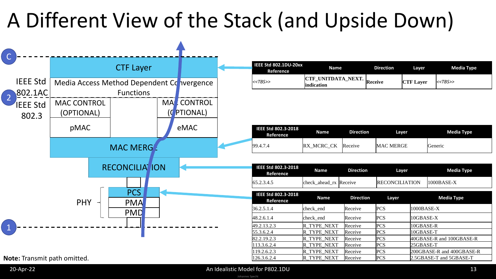## A Different View of the Stack (and Upside Down)



| IEEE Std 802.1DU-20xx<br>Reference | <b>Name</b>                              | <b>Direction</b> | Laver            | Media Type   |
|------------------------------------|------------------------------------------|------------------|------------------|--------------|
| < <tbs>&gt;</tbs>                  | <b>CTF_UNITDATA_NEXT.</b><br>lindication | Receive          | <b>CTF Layer</b> | $K < TBS$ >> |

| <b>IEEE Std 802.3-2018</b><br>Reference | Name       | <b>Direction</b> | Laver            | <b>Media Type</b> |
|-----------------------------------------|------------|------------------|------------------|-------------------|
| 99.4.7.4                                | RX_MCRC_CK | Receive          | <b>MAC MERGE</b> | Generic           |

| IEEE Std 802.3-2018<br>Reference | <b>Name</b>            | <b>Direction</b> | <b>Laver</b>           | Media Type   |
|----------------------------------|------------------------|------------------|------------------------|--------------|
| 65.2.3.4.5                       | check_ahead_rx Receive |                  | <b>IRECONCILIATION</b> | $1000BASE-X$ |

| IEEE Std 802.3-2018<br><b>Reference</b> | <b>Name</b>        | <b>Direction</b> | Layer      | <b>Media Type</b>         |
|-----------------------------------------|--------------------|------------------|------------|---------------------------|
| 36.2.5.1.4                              | check end          | Receive          | PCS        | 1000BASE-X                |
| 48.2.6.1.4                              | check end          | Receive          | PCS        | 10GBASE-X                 |
| 49.2.13.2.3                             | R TYPE NEXT        | Receive          | PCS        | 10GBASE-R                 |
| 55.3.6.2.4                              | R TYPE NEXT        | Receive          | <b>PCS</b> | 10GBASE-T                 |
| 82.2.19.2.3                             | R TYPE NEXT        | Receive          | <b>PCS</b> | 40GBASE-R and 100GBASE-R  |
| 113.3.6.2.4                             | R TYPE NEXT        | Receive          | <b>PCS</b> | 25GBASE-T                 |
| 119.2.6.2.3                             | R TYPE NEXT        | Receive          | PCS        | 200GBASE-R and 400GBASE-R |
| 126.3.6.2.4                             | <b>R TYPE NEXT</b> | Receive          | <b>PCS</b> | 2.5GBASE-T and 5GBASE-T   |

**Note:** Transmit path omitted.

#### Johannes Specht 20-Apr-22 **An Idealistic Model for P802.1DU** 13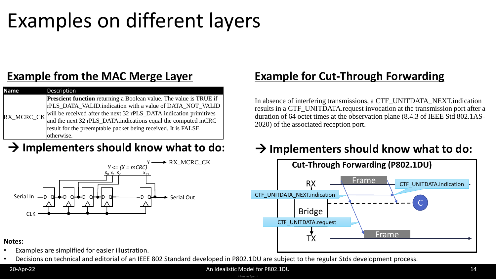### Examples on different layers

### **Example from the MAC Merge Layer**

| <b>Name</b> | Description                                                               |
|-------------|---------------------------------------------------------------------------|
|             | <b>Prescient function</b> returning a Boolean value. The value is TRUE if |
|             | rPLS_DATA_VALID.indication with a value of DATA_NOT_VALID                 |
| RX_MCRC_CK  | will be received after the next 32 rPLS_DATA.indication primitives        |
|             | and the next 32 rPLS_DATA.indications equal the computed mCRC             |
|             | result for the preemptable packet being received. It is FALSE             |
|             | otherwise.                                                                |



### **Example for Cut-Through Forwarding**

In absence of interfering transmissions, a CTF\_UNITDATA\_NEXT.indication results in a CTF\_UNITDATA.request invocation at the transmission port after a duration of 64 octet times at the observation plane (8.4.3 of IEEE Std 802.1AS-2020) of the associated reception port.

### → Implementers should know what to do: → Implementers should know what to do:



#### **Notes:**

- Examples are simplified for easier illustration.
- Decisions on technical and editorial of an IEEE 802 Standard developed in P802.1DU are subject to the regular Stds development process.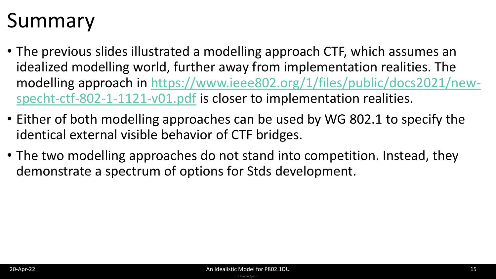## Summary

- The previous slides illustrated a modelling approach CTF, which assumes an idealized modelling world, further away from implementation realities. The [modelling approach in https://www.ieee802.org/1/files/public/docs2021/new](https://www.ieee802.org/1/files/public/docs2021/new-specht-ctf-802-1-1121-v01.pdf)specht-ctf-802-1-1121-v01.pdf is closer to implementation realities.
- Either of both modelling approaches can be used by WG 802.1 to specify the identical external visible behavior of CTF bridges.
- The two modelling approaches do not stand into competition. Instead, they demonstrate a spectrum of options for Stds development.